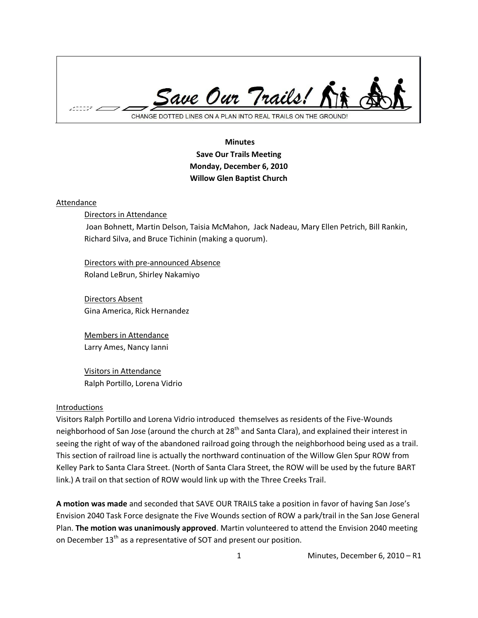

# **Minutes Save Our Trails Meeting Monday, December 6, 2010 Willow Glen Baptist Church**

#### Attendance

Directors in Attendance

Joan Bohnett, Martin Delson, Taisia McMahon, Jack Nadeau, Mary Ellen Petrich, Bill Rankin, Richard Silva, and Bruce Tichinin (making a quorum).

Directors with pre-announced Absence Roland LeBrun, Shirley Nakamiyo

Directors Absent Gina America, Rick Hernandez

Members in Attendance Larry Ames, Nancy Ianni

Visitors in Attendance Ralph Portillo, Lorena Vidrio

#### **Introductions**

Visitors Ralph Portillo and Lorena Vidrio introduced themselves as residents of the Five-Wounds neighborhood of San Jose (around the church at 28<sup>th</sup> and Santa Clara), and explained their interest in seeing the right of way of the abandoned railroad going through the neighborhood being used as a trail. This section of railroad line is actually the northward continuation of the Willow Glen Spur ROW from Kelley Park to Santa Clara Street. (North of Santa Clara Street, the ROW will be used by the future BART link.) A trail on that section of ROW would link up with the Three Creeks Trail.

**A motion was made** and seconded that SAVE OUR TRAILS take a position in favor of having San Jose's Envision 2040 Task Force designate the Five Wounds section of ROW a park/trail in the San Jose General Plan. **The motion was unanimously approved**. Martin volunteered to attend the Envision 2040 meeting on December 13<sup>th</sup> as a representative of SOT and present our position.

1 Minutes, December 6, 2010 – R1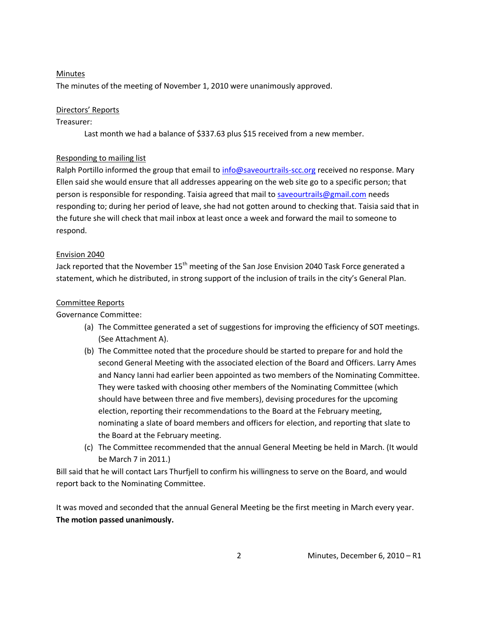#### Minutes

The minutes of the meeting of November 1, 2010 were unanimously approved.

### Directors' Reports

### Treasurer:

Last month we had a balance of \$337.63 plus \$15 received from a new member.

### Responding to mailing list

Ralph Portillo informed the group that email t[o info@saveourtrails-scc.org](mailto:info@saveourtrails-scc.org) received no response. Mary Ellen said she would ensure that all addresses appearing on the web site go to a specific person; that person is responsible for responding. Taisia agreed that mail to [saveourtrails@gmail.com](mailto:saveourtrails@gmail.com) needs responding to; during her period of leave, she had not gotten around to checking that. Taisia said that in the future she will check that mail inbox at least once a week and forward the mail to someone to respond.

### Envision 2040

Jack reported that the November 15<sup>th</sup> meeting of the San Jose Envision 2040 Task Force generated a statement, which he distributed, in strong support of the inclusion of trails in the city's General Plan.

### Committee Reports

### Governance Committee:

- (a) The Committee generated a set of suggestions for improving the efficiency of SOT meetings. (See Attachment A).
- (b) The Committee noted that the procedure should be started to prepare for and hold the second General Meeting with the associated election of the Board and Officers. Larry Ames and Nancy Ianni had earlier been appointed as two members of the Nominating Committee. They were tasked with choosing other members of the Nominating Committee (which should have between three and five members), devising procedures for the upcoming election, reporting their recommendations to the Board at the February meeting, nominating a slate of board members and officers for election, and reporting that slate to the Board at the February meeting.
- (c) The Committee recommended that the annual General Meeting be held in March. (It would be March 7 in 2011.)

Bill said that he will contact Lars Thurfjell to confirm his willingness to serve on the Board, and would report back to the Nominating Committee.

It was moved and seconded that the annual General Meeting be the first meeting in March every year. **The motion passed unanimously.**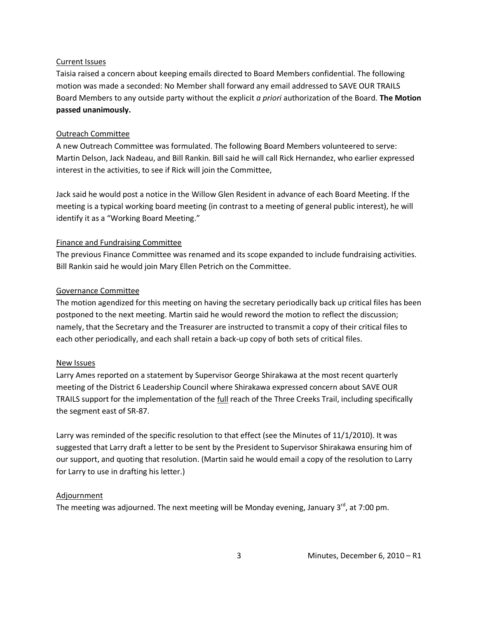#### Current Issues

Taisia raised a concern about keeping emails directed to Board Members confidential. The following motion was made a seconded: No Member shall forward any email addressed to SAVE OUR TRAILS Board Members to any outside party without the explicit *a priori* authorization of the Board. **The Motion passed unanimously.**

### Outreach Committee

A new Outreach Committee was formulated. The following Board Members volunteered to serve: Martin Delson, Jack Nadeau, and Bill Rankin. Bill said he will call Rick Hernandez, who earlier expressed interest in the activities, to see if Rick will join the Committee,

Jack said he would post a notice in the Willow Glen Resident in advance of each Board Meeting. If the meeting is a typical working board meeting (in contrast to a meeting of general public interest), he will identify it as a "Working Board Meeting."

## Finance and Fundraising Committee

The previous Finance Committee was renamed and its scope expanded to include fundraising activities. Bill Rankin said he would join Mary Ellen Petrich on the Committee.

## Governance Committee

The motion agendized for this meeting on having the secretary periodically back up critical files has been postponed to the next meeting. Martin said he would reword the motion to reflect the discussion; namely, that the Secretary and the Treasurer are instructed to transmit a copy of their critical files to each other periodically, and each shall retain a back-up copy of both sets of critical files.

### New Issues

Larry Ames reported on a statement by Supervisor George Shirakawa at the most recent quarterly meeting of the District 6 Leadership Council where Shirakawa expressed concern about SAVE OUR TRAILS support for the implementation of the full reach of the Three Creeks Trail, including specifically the segment east of SR-87.

Larry was reminded of the specific resolution to that effect (see the Minutes of 11/1/2010). It was suggested that Larry draft a letter to be sent by the President to Supervisor Shirakawa ensuring him of our support, and quoting that resolution. (Martin said he would email a copy of the resolution to Larry for Larry to use in drafting his letter.)

### Adjournment

The meeting was adjourned. The next meeting will be Monday evening, January  $3^{rd}$ , at 7:00 pm.